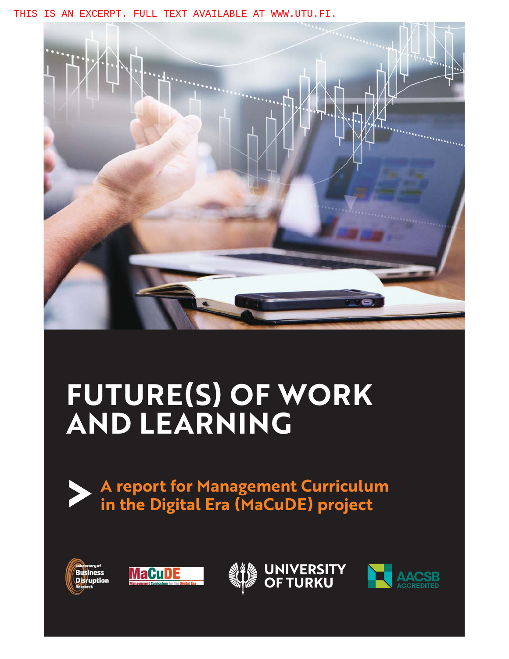THIS IS AN EXCERPT. FULL TEXT AVAILABLE AT WWW.UTU.FI.



# **FUTURE(S) OF WORK AND LEARNING**









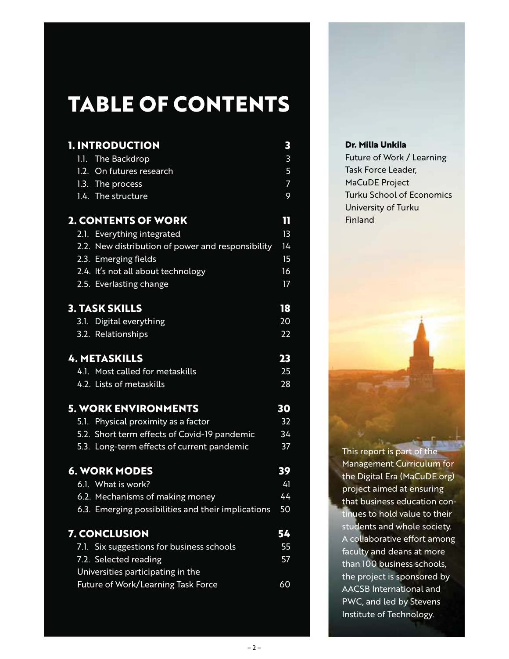## **TABLE OF CONTENTS**

| <b>1. INTRODUCTION</b>                             | 3              |
|----------------------------------------------------|----------------|
| 1.1. The Backdrop                                  | 3              |
| 1.2. On futures research                           | 5              |
| 1.3. The process                                   | $\overline{7}$ |
| 1.4. The structure                                 | 9              |
| <b>2. CONTENTS OF WORK</b>                         | 11             |
| 2.1. Everything integrated                         | 13             |
| 2.2. New distribution of power and responsibility  | 14             |
| 2.3. Emerging fields                               | 15             |
| 2.4. It's not all about technology                 | 16             |
| 2.5. Everlasting change                            | 17             |
| <b>3. TASK SKILLS</b>                              | 18             |
| 3.1. Digital everything                            | 20             |
| 3.2. Relationships                                 | 22             |
| <b>4. METASKILLS</b>                               | 23             |
| 4.1. Most called for metaskills                    | 25             |
| 4.2. Lists of metaskills                           | 28             |
| <b>5. WORK ENVIRONMENTS</b>                        | 30             |
| 5.1. Physical proximity as a factor                | 32             |
| 5.2. Short term effects of Covid-19 pandemic       | 34             |
| 5.3. Long-term effects of current pandemic         | 37             |
| <b>6. WORK MODES</b>                               | 39             |
| 6.1. What is work?                                 | 41             |
| 6.2. Mechanisms of making money                    | 44             |
| 6.3. Emerging possibilities and their implications | 50             |
| <b>7. CONCLUSION</b>                               | 54             |
| 7.1. Six suggestions for business schools          | 55             |
| 7.2. Selected reading                              | 57             |
| Universities participating in the                  |                |
| Future of Work/Learning Task Force                 | 60             |

#### **Dr. Milla Unkila**

Future of Work / Learning Task Force Leader, MaCuDE Project Turku School of Economics University of Turku Finland

This report is part of the Management Curriculum for the Digital Era (MaCuDE.org) project aimed at ensuring that business education continues to hold value to their students and whole society. A collaborative effort among faculty and deans at more than 100 business schools, the project is sponsored by AACSB International and PWC, and led by Stevens Institute of Technology.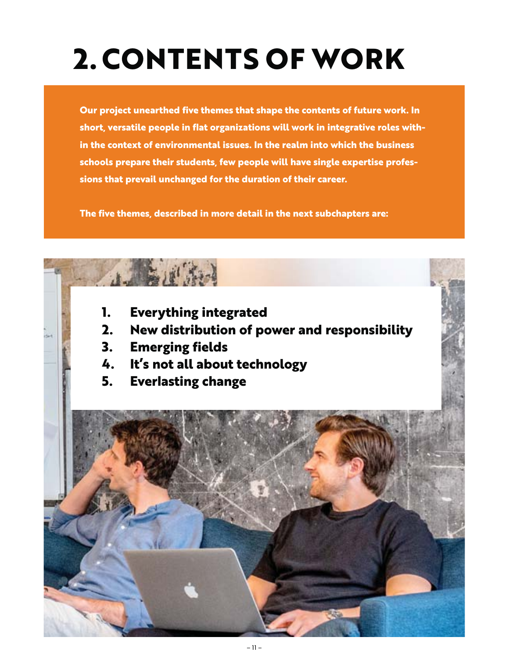## **2. CONTENTS OF WORK**

**Our project unearthed five themes that shape the contents of future work. In short, versatile people in flat organizations will work in integrative roles within the context of environmental issues. In the realm into which the business schools prepare their students, few people will have single expertise professions that prevail unchanged for the duration of their career.** 

**The five themes, described in more detail in the next subchapters are:**

- **1. Everything integrated**
- **2. New distribution of power and responsibility**
- **3. Emerging fields**
- **4. It's not all about technology**
- **5. Everlasting change**

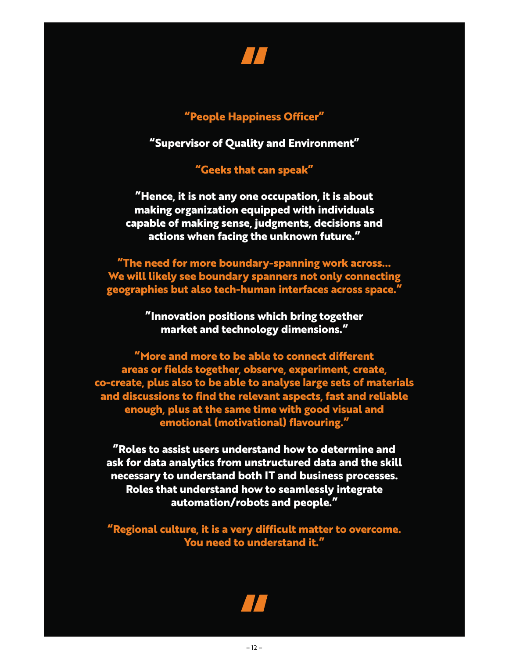

#### **"People Happiness Officer"**

**"Supervisor of Quality and Environment"**

**"Geeks that can speak"**

**"Hence, it is not any one occupation, it is about making organization equipped with individuals capable of making sense, judgments, decisions and actions when facing the unknown future."**

**"The need for more boundary-spanning work across… We will likely see boundary spanners not only connecting geographies but also tech-human interfaces across space."**

> **"Innovation positions which bring together market and technology dimensions."**

**"More and more to be able to connect different areas or fields together, observe, experiment, create, co-create, plus also to be able to analyse large sets of materials and discussions to find the relevant aspects, fast and reliable enough, plus at the same time with good visual and emotional (motivational) flavouring."**

**"Roles to assist users understand how to determine and ask for data analytics from unstructured data and the skill necessary to understand both IT and business processes. Roles that understand how to seamlessly integrate automation/robots and people."**

**"Regional culture, it is a very difficult matter to overcome. You need to understand it."**

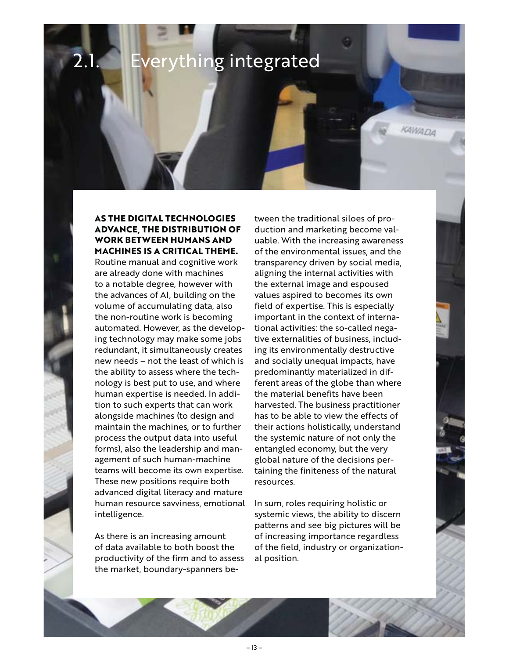## 2.1. Everything integrated

**AS THE DIGITAL TECHNOLOGIES ADVANCE, THE DISTRIBUTION OF WORK BETWEEN HUMANS AND MACHINES IS A CRITICAL THEME.** 

Routine manual and cognitive work are already done with machines to a notable degree, however with the advances of AI, building on the volume of accumulating data, also the non-routine work is becoming automated. However, as the developing technology may make some jobs redundant, it simultaneously creates new needs – not the least of which is the ability to assess where the technology is best put to use, and where human expertise is needed. In addition to such experts that can work alongside machines (to design and maintain the machines, or to further process the output data into useful forms), also the leadership and management of such human-machine teams will become its own expertise. These new positions require both advanced digital literacy and mature human resource savviness, emotional intelligence.

As there is an increasing amount of data available to both boost the productivity of the firm and to assess the market, boundary-spanners between the traditional siloes of production and marketing become valuable. With the increasing awareness of the environmental issues, and the transparency driven by social media, aligning the internal activities with the external image and espoused values aspired to becomes its own field of expertise. This is especially important in the context of international activities: the so-called negative externalities of business, including its environmentally destructive and socially unequal impacts, have predominantly materialized in different areas of the globe than where the material benefits have been harvested. The business practitioner has to be able to view the effects of their actions holistically, understand the systemic nature of not only the entangled economy, but the very global nature of the decisions pertaining the finiteness of the natural resources.

KAWADA

In sum, roles requiring holistic or systemic views, the ability to discern patterns and see big pictures will be of increasing importance regardless of the field, industry or organizational position.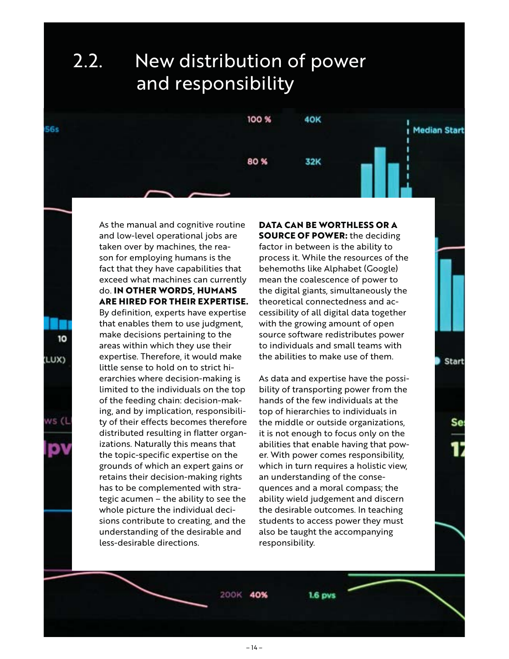#### 2.2. New distribution of power and responsibility



As the manual and cognitive routine and low-level operational jobs are taken over by machines, the reason for employing humans is the fact that they have capabilities that exceed what machines can currently do. **IN OTHER WORDS, HUMANS ARE HIRED FOR THEIR EXPERTISE.** By definition, experts have expertise that enables them to use judgment, make decisions pertaining to the areas within which they use their expertise. Therefore, it would make little sense to hold on to strict hierarchies where decision-making is limited to the individuals on the top of the feeding chain: decision-making, and by implication, responsibility of their effects becomes therefore distributed resulting in flatter organizations. Naturally this means that the topic-specific expertise on the grounds of which an expert gains or retains their decision-making rights has to be complemented with strategic acumen – the ability to see the whole picture the individual decisions contribute to creating, and the understanding of the desirable and

 $56s$ 

10

(LUX)

NS (

less-desirable directions.

**DATA CAN BE WORTHLESS OR A SOURCE OF POWER:** the deciding factor in between is the ability to process it. While the resources of the behemoths like Alphabet (Google) mean the coalescence of power to the digital giants, simultaneously the theoretical connectedness and accessibility of all digital data together with the growing amount of open source software redistributes power to individuals and small teams with the abilities to make use of them.

Start

As data and expertise have the possibility of transporting power from the hands of the few individuals at the top of hierarchies to individuals in the middle or outside organizations, it is not enough to focus only on the abilities that enable having that power. With power comes responsibility, which in turn requires a holistic view, an understanding of the consequences and a moral compass; the ability wield judgement and discern the desirable outcomes. In teaching students to access power they must also be taught the accompanying responsibility.

200K 40%

– 14 –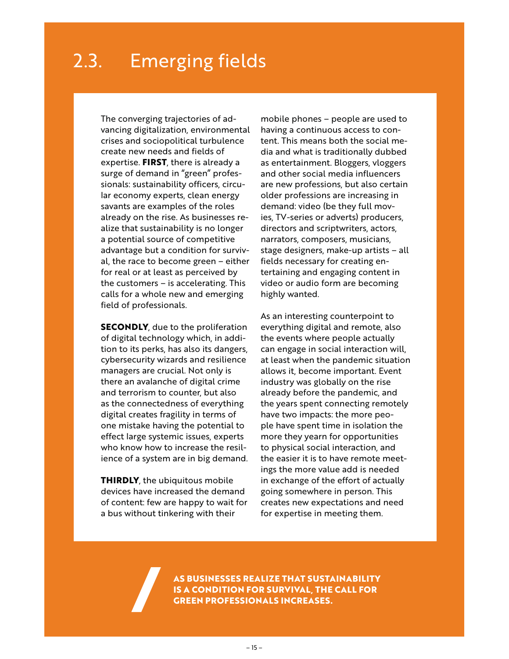#### 2.3. Emerging fields

The converging trajectories of advancing digitalization, environmental crises and sociopolitical turbulence create new needs and fields of expertise. **FIRST**, there is already a surge of demand in "green" professionals: sustainability officers, circular economy experts, clean energy savants are examples of the roles already on the rise. As businesses realize that sustainability is no longer a potential source of competitive advantage but a condition for survival, the race to become green – either for real or at least as perceived by the customers – is accelerating. This calls for a whole new and emerging field of professionals.

**SECONDLY**, due to the proliferation of digital technology which, in addition to its perks, has also its dangers, cybersecurity wizards and resilience managers are crucial. Not only is there an avalanche of digital crime and terrorism to counter, but also as the connectedness of everything digital creates fragility in terms of one mistake having the potential to effect large systemic issues, experts who know how to increase the resilience of a system are in big demand.

**THIRDLY**, the ubiquitous mobile devices have increased the demand of content: few are happy to wait for a bus without tinkering with their

mobile phones – people are used to having a continuous access to content. This means both the social media and what is traditionally dubbed as entertainment. Bloggers, vloggers and other social media influencers are new professions, but also certain older professions are increasing in demand: video (be they full movies, TV-series or adverts) producers, directors and scriptwriters, actors, narrators, composers, musicians, stage designers, make-up artists – all fields necessary for creating entertaining and engaging content in video or audio form are becoming highly wanted.

As an interesting counterpoint to everything digital and remote, also the events where people actually can engage in social interaction will, at least when the pandemic situation allows it, become important. Event industry was globally on the rise already before the pandemic, and the years spent connecting remotely have two impacts: the more people have spent time in isolation the more they yearn for opportunities to physical social interaction, and the easier it is to have remote meetings the more value add is needed in exchange of the effort of actually going somewhere in person. This creates new expectations and need for expertise in meeting them.

**AS BUSINESSES REALIZE THAT SUSTAINABILITY IS A CONDITION FOR SURVIVAL, THE CALL FOR GREEN PROFESSIONALS INCREASES.**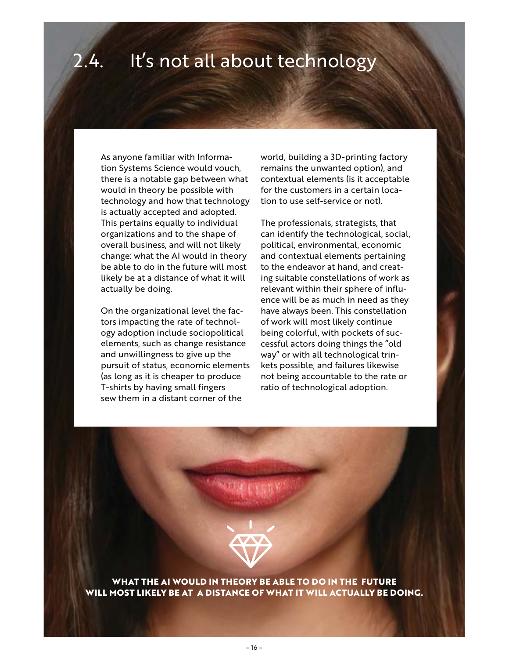#### 2.4. It's not all about technology

As anyone familiar with Information Systems Science would vouch, there is a notable gap between what would in theory be possible with technology and how that technology is actually accepted and adopted. This pertains equally to individual organizations and to the shape of overall business, and will not likely change: what the AI would in theory be able to do in the future will most likely be at a distance of what it will actually be doing.

On the organizational level the factors impacting the rate of technology adoption include sociopolitical elements, such as change resistance and unwillingness to give up the pursuit of status, economic elements (as long as it is cheaper to produce T-shirts by having small fingers sew them in a distant corner of the

world, building a 3D-printing factory remains the unwanted option), and contextual elements (is it acceptable for the customers in a certain location to use self-service or not).

The professionals, strategists, that can identify the technological, social, political, environmental, economic and contextual elements pertaining to the endeavor at hand, and creating suitable constellations of work as relevant within their sphere of influence will be as much in need as they have always been. This constellation of work will most likely continue being colorful, with pockets of successful actors doing things the "old way" or with all technological trinkets possible, and failures likewise not being accountable to the rate or ratio of technological adoption.



**WHAT THE AI WOULD IN THEORY BE ABLE TO DO IN THE FUTURE WILL MOST LIKELY BE AT A DISTANCE OF WHAT IT WILL ACTUALLY BE DOING.**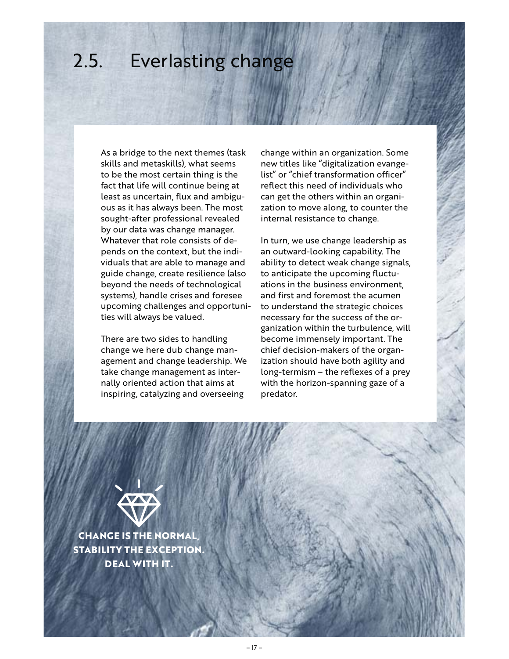## 2.5. Everlasting change

As a bridge to the next themes (task skills and metaskills), what seems to be the most certain thing is the fact that life will continue being at least as uncertain, flux and ambiguous as it has always been. The most sought-after professional revealed by our data was change manager. Whatever that role consists of depends on the context, but the individuals that are able to manage and guide change, create resilience (also beyond the needs of technological systems), handle crises and foresee upcoming challenges and opportunities will always be valued.

There are two sides to handling change we here dub change management and change leadership. We take change management as internally oriented action that aims at inspiring, catalyzing and overseeing

change within an organization. Some new titles like "digitalization evangelist" or "chief transformation officer" reflect this need of individuals who can get the others within an organization to move along, to counter the internal resistance to change.

In turn, we use change leadership as an outward-looking capability. The ability to detect weak change signals, to anticipate the upcoming fluctuations in the business environment, and first and foremost the acumen to understand the strategic choices necessary for the success of the organization within the turbulence, will become immensely important. The chief decision-makers of the organization should have both agility and long-termism – the reflexes of a prey with the horizon-spanning gaze of a predator.



**CHANGE IS THE NORMAL, STABILITY THE EXCEPTION. DEAL WITH IT.**